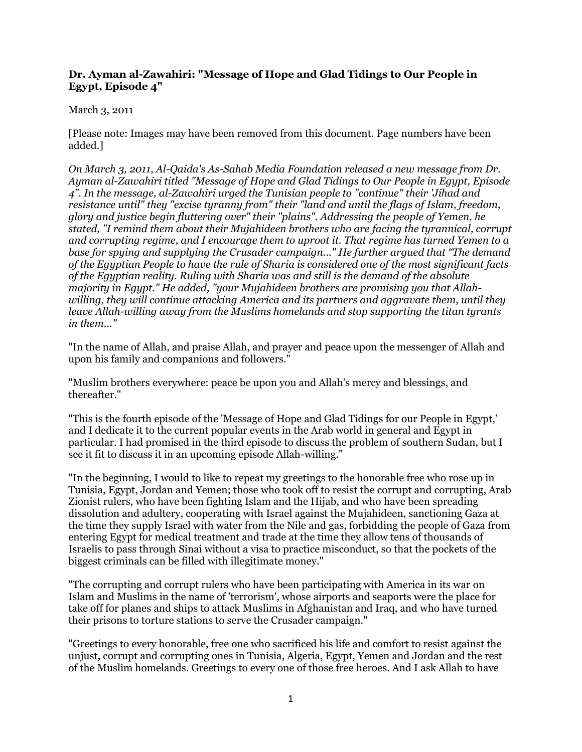## **Dr. Ayman al-Zawahiri: "Message of Hope and Glad Tidings to Our People in Egypt, Episode 4"**

## March 3, 2011

[Please note: Images may have been removed from this document. Page numbers have been added.]

*On March 3, 2011, Al-Qaida's As-Sahab Media Foundation released a new message from Dr. Ayman al-Zawahiri titled "Message of Hope and Glad Tidings to Our People in Egypt, Episode 4". In the message, al-Zawahiri urged the Tunisian people to "continue" their 'Jihad and resistance until" they "excise tyranny from" their "land and until the flags of Islam, freedom, glory and justice begin fluttering over" their "plains". Addressing the people of Yemen, he stated, "I remind them about their Mujahideen brothers who are facing the tyrannical, corrupt and corrupting regime, and I encourage them to uproot it. That regime has turned Yemen to a base for spying and supplying the Crusader campaign..." He further argued that "The demand of the Egyptian People to have the rule of Sharia is considered one of the most significant facts of the Egyptian reality. Ruling with Sharia was and still is the demand of the absolute majority in Egypt." He added, "your Mujahideen brothers are promising you that Allahwilling, they will continue attacking America and its partners and aggravate them, until they leave Allah-willing away from the Muslims homelands and stop supporting the titan tyrants in them..."*

"In the name of Allah, and praise Allah, and prayer and peace upon the messenger of Allah and upon his family and companions and followers."

"Muslim brothers everywhere: peace be upon you and Allah's mercy and blessings, and thereafter."

"This is the fourth episode of the 'Message of Hope and Glad Tidings for our People in Egypt,' and I dedicate it to the current popular events in the Arab world in general and Egypt in particular. I had promised in the third episode to discuss the problem of southern Sudan, but I see it fit to discuss it in an upcoming episode Allah-willing."

"In the beginning, I would to like to repeat my greetings to the honorable free who rose up in Tunisia, Egypt, Jordan and Yemen; those who took off to resist the corrupt and corrupting, Arab Zionist rulers, who have been fighting Islam and the Hijab, and who have been spreading dissolution and adultery, cooperating with Israel against the Mujahideen, sanctioning Gaza at the time they supply Israel with water from the Nile and gas, forbidding the people of Gaza from entering Egypt for medical treatment and trade at the time they allow tens of thousands of Israelis to pass through Sinai without a visa to practice misconduct, so that the pockets of the biggest criminals can be filled with illegitimate money."

"The corrupting and corrupt rulers who have been participating with America in its war on Islam and Muslims in the name of 'terrorism', whose airports and seaports were the place for take off for planes and ships to attack Muslims in Afghanistan and Iraq, and who have turned their prisons to torture stations to serve the Crusader campaign."

"Greetings to every honorable, free one who sacrificed his life and comfort to resist against the unjust, corrupt and corrupting ones in Tunisia, Algeria, Egypt, Yemen and Jordan and the rest of the Muslim homelands. Greetings to every one of those free heroes. And I ask Allah to have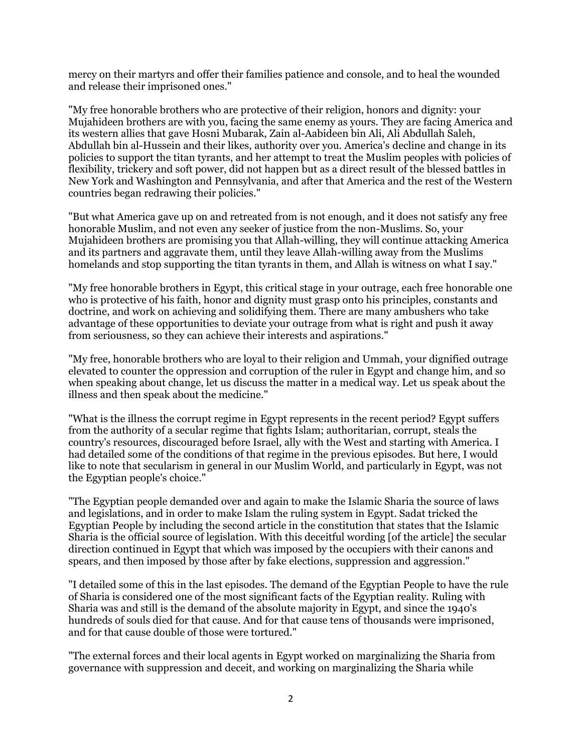mercy on their martyrs and offer their families patience and console, and to heal the wounded and release their imprisoned ones."

"My free honorable brothers who are protective of their religion, honors and dignity: your Mujahideen brothers are with you, facing the same enemy as yours. They are facing America and its western allies that gave Hosni Mubarak, Zain al-Aabideen bin Ali, Ali Abdullah Saleh, Abdullah bin al-Hussein and their likes, authority over you. America's decline and change in its policies to support the titan tyrants, and her attempt to treat the Muslim peoples with policies of flexibility, trickery and soft power, did not happen but as a direct result of the blessed battles in New York and Washington and Pennsylvania, and after that America and the rest of the Western countries began redrawing their policies."

"But what America gave up on and retreated from is not enough, and it does not satisfy any free honorable Muslim, and not even any seeker of justice from the non-Muslims. So, your Mujahideen brothers are promising you that Allah-willing, they will continue attacking America and its partners and aggravate them, until they leave Allah-willing away from the Muslims homelands and stop supporting the titan tyrants in them, and Allah is witness on what I say."

"My free honorable brothers in Egypt, this critical stage in your outrage, each free honorable one who is protective of his faith, honor and dignity must grasp onto his principles, constants and doctrine, and work on achieving and solidifying them. There are many ambushers who take advantage of these opportunities to deviate your outrage from what is right and push it away from seriousness, so they can achieve their interests and aspirations."

"My free, honorable brothers who are loyal to their religion and Ummah, your dignified outrage elevated to counter the oppression and corruption of the ruler in Egypt and change him, and so when speaking about change, let us discuss the matter in a medical way. Let us speak about the illness and then speak about the medicine."

"What is the illness the corrupt regime in Egypt represents in the recent period? Egypt suffers from the authority of a secular regime that fights Islam; authoritarian, corrupt, steals the country's resources, discouraged before Israel, ally with the West and starting with America. I had detailed some of the conditions of that regime in the previous episodes. But here, I would like to note that secularism in general in our Muslim World, and particularly in Egypt, was not the Egyptian people's choice."

"The Egyptian people demanded over and again to make the Islamic Sharia the source of laws and legislations, and in order to make Islam the ruling system in Egypt. Sadat tricked the Egyptian People by including the second article in the constitution that states that the Islamic Sharia is the official source of legislation. With this deceitful wording [of the article] the secular direction continued in Egypt that which was imposed by the occupiers with their canons and spears, and then imposed by those after by fake elections, suppression and aggression."

"I detailed some of this in the last episodes. The demand of the Egyptian People to have the rule of Sharia is considered one of the most significant facts of the Egyptian reality. Ruling with Sharia was and still is the demand of the absolute majority in Egypt, and since the 1940's hundreds of souls died for that cause. And for that cause tens of thousands were imprisoned, and for that cause double of those were tortured."

"The external forces and their local agents in Egypt worked on marginalizing the Sharia from governance with suppression and deceit, and working on marginalizing the Sharia while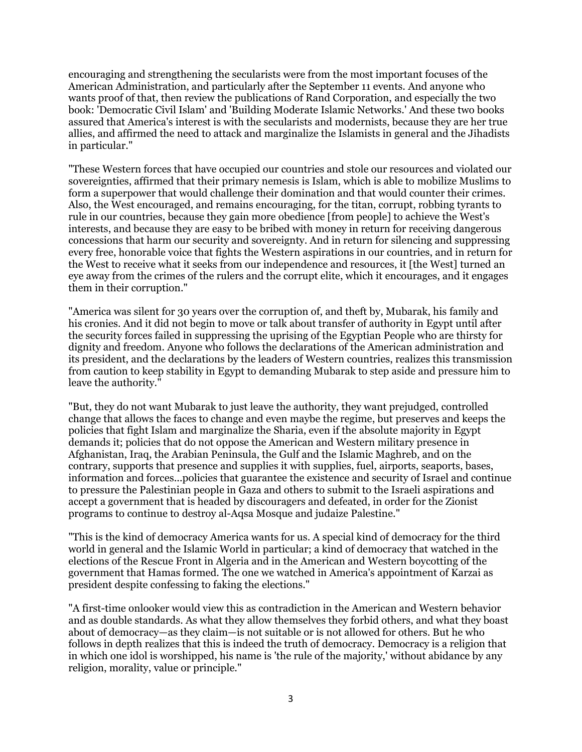encouraging and strengthening the secularists were from the most important focuses of the American Administration, and particularly after the September 11 events. And anyone who wants proof of that, then review the publications of Rand Corporation, and especially the two book: 'Democratic Civil Islam' and 'Building Moderate Islamic Networks.' And these two books assured that America's interest is with the secularists and modernists, because they are her true allies, and affirmed the need to attack and marginalize the Islamists in general and the Jihadists in particular."

"These Western forces that have occupied our countries and stole our resources and violated our sovereignties, affirmed that their primary nemesis is Islam, which is able to mobilize Muslims to form a superpower that would challenge their domination and that would counter their crimes. Also, the West encouraged, and remains encouraging, for the titan, corrupt, robbing tyrants to rule in our countries, because they gain more obedience [from people] to achieve the West's interests, and because they are easy to be bribed with money in return for receiving dangerous concessions that harm our security and sovereignty. And in return for silencing and suppressing every free, honorable voice that fights the Western aspirations in our countries, and in return for the West to receive what it seeks from our independence and resources, it [the West] turned an eye away from the crimes of the rulers and the corrupt elite, which it encourages, and it engages them in their corruption."

"America was silent for 30 years over the corruption of, and theft by, Mubarak, his family and his cronies. And it did not begin to move or talk about transfer of authority in Egypt until after the security forces failed in suppressing the uprising of the Egyptian People who are thirsty for dignity and freedom. Anyone who follows the declarations of the American administration and its president, and the declarations by the leaders of Western countries, realizes this transmission from caution to keep stability in Egypt to demanding Mubarak to step aside and pressure him to leave the authority."

"But, they do not want Mubarak to just leave the authority, they want prejudged, controlled change that allows the faces to change and even maybe the regime, but preserves and keeps the policies that fight Islam and marginalize the Sharia, even if the absolute majority in Egypt demands it; policies that do not oppose the American and Western military presence in Afghanistan, Iraq, the Arabian Peninsula, the Gulf and the Islamic Maghreb, and on the contrary, supports that presence and supplies it with supplies, fuel, airports, seaports, bases, information and forces...policies that guarantee the existence and security of Israel and continue to pressure the Palestinian people in Gaza and others to submit to the Israeli aspirations and accept a government that is headed by discouragers and defeated, in order for the Zionist programs to continue to destroy al-Aqsa Mosque and judaize Palestine."

"This is the kind of democracy America wants for us. A special kind of democracy for the third world in general and the Islamic World in particular; a kind of democracy that watched in the elections of the Rescue Front in Algeria and in the American and Western boycotting of the government that Hamas formed. The one we watched in America's appointment of Karzai as president despite confessing to faking the elections."

"A first-time onlooker would view this as contradiction in the American and Western behavior and as double standards. As what they allow themselves they forbid others, and what they boast about of democracy—as they claim—is not suitable or is not allowed for others. But he who follows in depth realizes that this is indeed the truth of democracy. Democracy is a religion that in which one idol is worshipped, his name is 'the rule of the majority,' without abidance by any religion, morality, value or principle."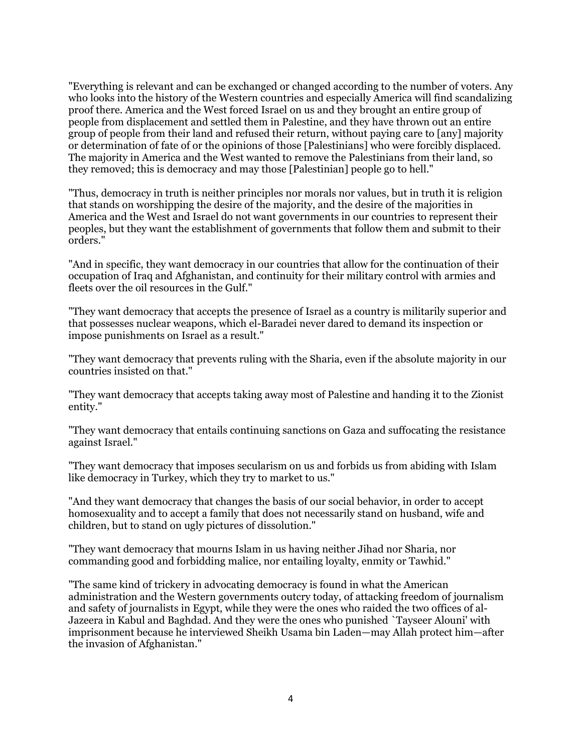"Everything is relevant and can be exchanged or changed according to the number of voters. Any who looks into the history of the Western countries and especially America will find scandalizing proof there. America and the West forced Israel on us and they brought an entire group of people from displacement and settled them in Palestine, and they have thrown out an entire group of people from their land and refused their return, without paying care to [any] majority or determination of fate of or the opinions of those [Palestinians] who were forcibly displaced. The majority in America and the West wanted to remove the Palestinians from their land, so they removed; this is democracy and may those [Palestinian] people go to hell."

"Thus, democracy in truth is neither principles nor morals nor values, but in truth it is religion that stands on worshipping the desire of the majority, and the desire of the majorities in America and the West and Israel do not want governments in our countries to represent their peoples, but they want the establishment of governments that follow them and submit to their orders."

"And in specific, they want democracy in our countries that allow for the continuation of their occupation of Iraq and Afghanistan, and continuity for their military control with armies and fleets over the oil resources in the Gulf."

"They want democracy that accepts the presence of Israel as a country is militarily superior and that possesses nuclear weapons, which el-Baradei never dared to demand its inspection or impose punishments on Israel as a result."

"They want democracy that prevents ruling with the Sharia, even if the absolute majority in our countries insisted on that."

"They want democracy that accepts taking away most of Palestine and handing it to the Zionist entity."

"They want democracy that entails continuing sanctions on Gaza and suffocating the resistance against Israel."

"They want democracy that imposes secularism on us and forbids us from abiding with Islam like democracy in Turkey, which they try to market to us."

"And they want democracy that changes the basis of our social behavior, in order to accept homosexuality and to accept a family that does not necessarily stand on husband, wife and children, but to stand on ugly pictures of dissolution."

"They want democracy that mourns Islam in us having neither Jihad nor Sharia, nor commanding good and forbidding malice, nor entailing loyalty, enmity or Tawhid."

"The same kind of trickery in advocating democracy is found in what the American administration and the Western governments outcry today, of attacking freedom of journalism and safety of journalists in Egypt, while they were the ones who raided the two offices of al-Jazeera in Kabul and Baghdad. And they were the ones who punished `Tayseer Alouni' with imprisonment because he interviewed Sheikh Usama bin Laden—may Allah protect him—after the invasion of Afghanistan."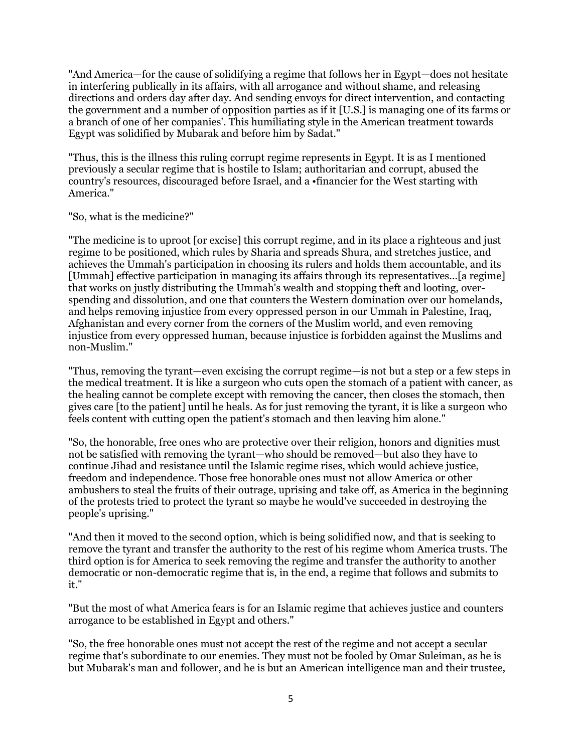"And America—for the cause of solidifying a regime that follows her in Egypt—does not hesitate in interfering publically in its affairs, with all arrogance and without shame, and releasing directions and orders day after day. And sending envoys for direct intervention, and contacting the government and a number of opposition parties as if it [U.S.] is managing one of its farms or a branch of one of her companies'. This humiliating style in the American treatment towards Egypt was solidified by Mubarak and before him by Sadat."

"Thus, this is the illness this ruling corrupt regime represents in Egypt. It is as I mentioned previously a secular regime that is hostile to Islam; authoritarian and corrupt, abused the country's resources, discouraged before Israel, and a •financier for the West starting with America."

"So, what is the medicine?"

"The medicine is to uproot [or excise] this corrupt regime, and in its place a righteous and just regime to be positioned, which rules by Sharia and spreads Shura, and stretches justice, and achieves the Ummah's participation in choosing its rulers and holds them accountable, and its [Ummah] effective participation in managing its affairs through its representatives...[a regime] that works on justly distributing the Ummah's wealth and stopping theft and looting, overspending and dissolution, and one that counters the Western domination over our homelands, and helps removing injustice from every oppressed person in our Ummah in Palestine, Iraq, Afghanistan and every corner from the corners of the Muslim world, and even removing injustice from every oppressed human, because injustice is forbidden against the Muslims and non-Muslim."

"Thus, removing the tyrant—even excising the corrupt regime—is not but a step or a few steps in the medical treatment. It is like a surgeon who cuts open the stomach of a patient with cancer, as the healing cannot be complete except with removing the cancer, then closes the stomach, then gives care [to the patient] until he heals. As for just removing the tyrant, it is like a surgeon who feels content with cutting open the patient's stomach and then leaving him alone."

"So, the honorable, free ones who are protective over their religion, honors and dignities must not be satisfied with removing the tyrant—who should be removed—but also they have to continue Jihad and resistance until the Islamic regime rises, which would achieve justice, freedom and independence. Those free honorable ones must not allow America or other ambushers to steal the fruits of their outrage, uprising and take off, as America in the beginning of the protests tried to protect the tyrant so maybe he would've succeeded in destroying the people's uprising."

"And then it moved to the second option, which is being solidified now, and that is seeking to remove the tyrant and transfer the authority to the rest of his regime whom America trusts. The third option is for America to seek removing the regime and transfer the authority to another democratic or non-democratic regime that is, in the end, a regime that follows and submits to it."

"But the most of what America fears is for an Islamic regime that achieves justice and counters arrogance to be established in Egypt and others."

"So, the free honorable ones must not accept the rest of the regime and not accept a secular regime that's subordinate to our enemies. They must not be fooled by Omar Suleiman, as he is but Mubarak's man and follower, and he is but an American intelligence man and their trustee,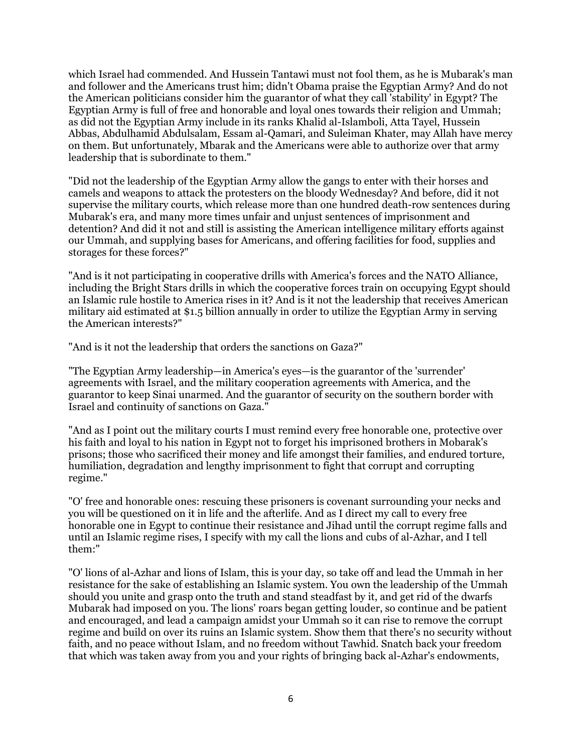which Israel had commended. And Hussein Tantawi must not fool them, as he is Mubarak's man and follower and the Americans trust him; didn't Obama praise the Egyptian Army? And do not the American politicians consider him the guarantor of what they call 'stability' in Egypt? The Egyptian Army is full of free and honorable and loyal ones towards their religion and Ummah; as did not the Egyptian Army include in its ranks Khalid al-Islamboli, Atta Tayel, Hussein Abbas, Abdulhamid Abdulsalam, Essam al-Qamari, and Suleiman Khater, may Allah have mercy on them. But unfortunately, Mbarak and the Americans were able to authorize over that army leadership that is subordinate to them."

"Did not the leadership of the Egyptian Army allow the gangs to enter with their horses and camels and weapons to attack the protesters on the bloody Wednesday? And before, did it not supervise the military courts, which release more than one hundred death-row sentences during Mubarak's era, and many more times unfair and unjust sentences of imprisonment and detention? And did it not and still is assisting the American intelligence military efforts against our Ummah, and supplying bases for Americans, and offering facilities for food, supplies and storages for these forces?"

"And is it not participating in cooperative drills with America's forces and the NATO Alliance, including the Bright Stars drills in which the cooperative forces train on occupying Egypt should an Islamic rule hostile to America rises in it? And is it not the leadership that receives American military aid estimated at \$1.5 billion annually in order to utilize the Egyptian Army in serving the American interests?"

"And is it not the leadership that orders the sanctions on Gaza?"

"The Egyptian Army leadership—in America's eyes—is the guarantor of the 'surrender' agreements with Israel, and the military cooperation agreements with America, and the guarantor to keep Sinai unarmed. And the guarantor of security on the southern border with Israel and continuity of sanctions on Gaza."

"And as I point out the military courts I must remind every free honorable one, protective over his faith and loyal to his nation in Egypt not to forget his imprisoned brothers in Mobarak's prisons; those who sacrificed their money and life amongst their families, and endured torture, humiliation, degradation and lengthy imprisonment to fight that corrupt and corrupting regime."

"O' free and honorable ones: rescuing these prisoners is covenant surrounding your necks and you will be questioned on it in life and the afterlife. And as I direct my call to every free honorable one in Egypt to continue their resistance and Jihad until the corrupt regime falls and until an Islamic regime rises, I specify with my call the lions and cubs of al-Azhar, and I tell them:"

"O' lions of al-Azhar and lions of Islam, this is your day, so take off and lead the Ummah in her resistance for the sake of establishing an Islamic system. You own the leadership of the Ummah should you unite and grasp onto the truth and stand steadfast by it, and get rid of the dwarfs Mubarak had imposed on you. The lions' roars began getting louder, so continue and be patient and encouraged, and lead a campaign amidst your Ummah so it can rise to remove the corrupt regime and build on over its ruins an Islamic system. Show them that there's no security without faith, and no peace without Islam, and no freedom without Tawhid. Snatch back your freedom that which was taken away from you and your rights of bringing back al-Azhar's endowments,